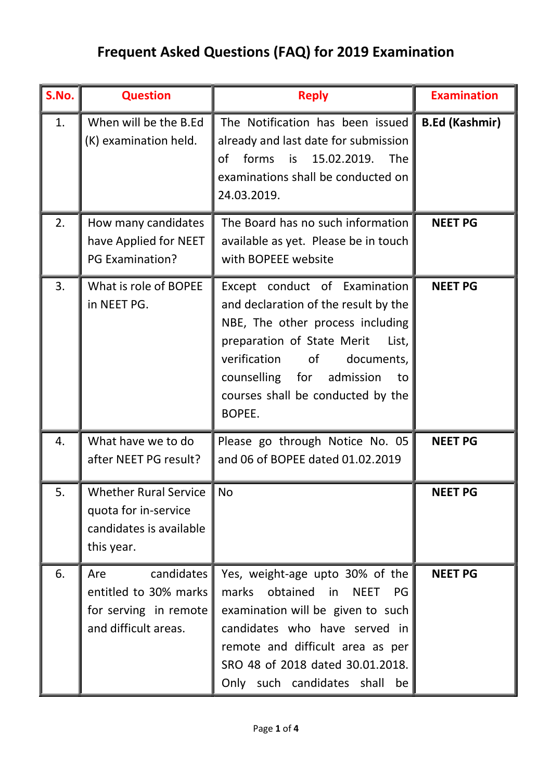## Frequent Asked Questions (FAQ) for 2019 Examination

| S.No. | <b>Question</b>                                                                             | <b>Reply</b>                                                                                                                                                                                                                                                        | <b>Examination</b>    |
|-------|---------------------------------------------------------------------------------------------|---------------------------------------------------------------------------------------------------------------------------------------------------------------------------------------------------------------------------------------------------------------------|-----------------------|
| 1.    | When will be the B.Ed<br>(K) examination held.                                              | The Notification has been issued<br>already and last date for submission<br>forms is 15.02.2019.<br>The<br>οf<br>examinations shall be conducted on<br>24.03.2019.                                                                                                  | <b>B.Ed (Kashmir)</b> |
| 2.    | How many candidates<br>have Applied for NEET<br><b>PG Examination?</b>                      | The Board has no such information<br>available as yet. Please be in touch<br>with BOPEEE website                                                                                                                                                                    | <b>NEET PG</b>        |
| 3.    | What is role of BOPEE<br>in NEET PG.                                                        | Except conduct of Examination<br>and declaration of the result by the<br>NBE, The other process including<br>preparation of State Merit<br>List,<br>verification of<br>documents,<br>counselling for admission<br>to<br>courses shall be conducted by the<br>BOPEE. | <b>NEET PG</b>        |
| 4.    | What have we to do<br>after NEET PG result?                                                 | Please go through Notice No. 05<br>and 06 of BOPEE dated 01.02.2019                                                                                                                                                                                                 | <b>NEET PG</b>        |
| 5.    | Whether Rural Service I No<br>quota for in-service<br>candidates is available<br>this year. |                                                                                                                                                                                                                                                                     | <b>NEET PG</b>        |
| 6.    | candidates<br>Are<br>entitled to 30% marks<br>for serving in remote<br>and difficult areas. | Yes, weight-age upto 30% of the<br>marks obtained in<br><b>NEET</b><br>PG<br>examination will be given to such<br>candidates who have served in<br>remote and difficult area as per<br>SRO 48 of 2018 dated 30.01.2018.<br>Only such candidates shall<br>be         | <b>NEET PG</b>        |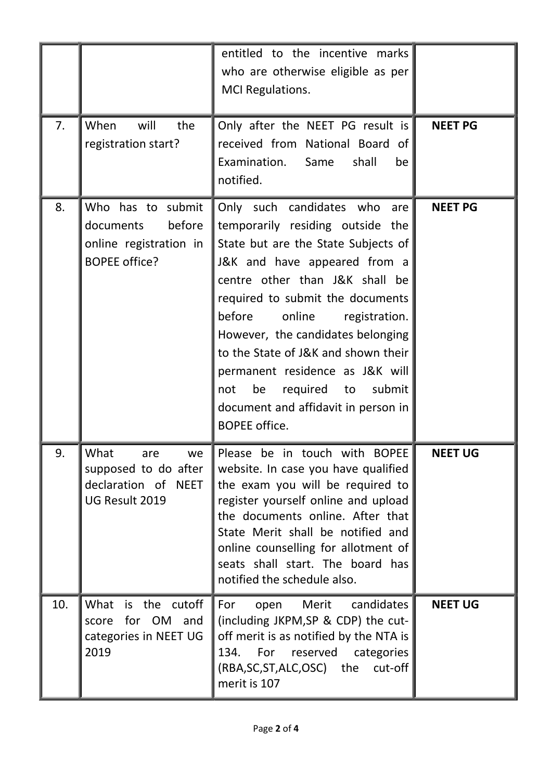|     |                                                                                            | entitled to the incentive marks<br>who are otherwise eligible as per<br>MCI Regulations.                                                                                                                                                                                                                                                                                                                                                                               |                |
|-----|--------------------------------------------------------------------------------------------|------------------------------------------------------------------------------------------------------------------------------------------------------------------------------------------------------------------------------------------------------------------------------------------------------------------------------------------------------------------------------------------------------------------------------------------------------------------------|----------------|
| 7.  | will<br>When<br>the<br>registration start?                                                 | Only after the NEET PG result is<br>received from National Board of<br>Examination. Same<br>shall<br>be<br>notified.                                                                                                                                                                                                                                                                                                                                                   | <b>NEET PG</b> |
| 8.  | Who has to submit<br>before<br>documents<br>online registration in<br><b>BOPEE office?</b> | Only such candidates who<br>are<br>temporarily residing outside the<br>State but are the State Subjects of<br>J&K and have appeared from a<br>centre other than J&K shall be<br>required to submit the documents<br>online<br>before<br>registration.<br>However, the candidates belonging<br>to the State of J&K and shown their<br>permanent residence as J&K will<br>required to submit<br>not<br>be<br>document and affidavit in person in<br><b>BOPEE</b> office. | <b>NEET PG</b> |
| 9.  | What<br>we<br>are<br>supposed to do after<br>declaration of NEET<br>UG Result 2019         | Please be in touch with BOPEE<br>website. In case you have qualified<br>the exam you will be required to<br>register yourself online and upload<br>the documents online. After that<br>State Merit shall be notified and<br>online counselling for allotment of<br>seats shall start. The board has<br>notified the schedule also.                                                                                                                                     | <b>NEET UG</b> |
| 10. | What is the cutoff<br>score for OM and<br>categories in NEET UG<br>2019                    | open Merit candidates<br>For<br>(including JKPM, SP & CDP) the cut-<br>off merit is as notified by the NTA is<br>134. For reserved categories<br>(RBA,SC,ST,ALC,OSC) the cut-off<br>merit is 107                                                                                                                                                                                                                                                                       | <b>NEET UG</b> |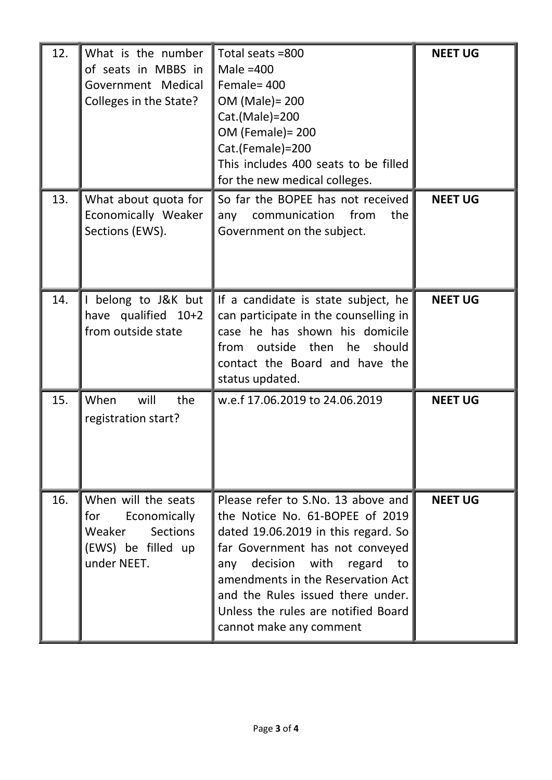| 12. | What is the number<br>of seats in MBBS in<br>Government Medical<br>Colleges in the State?          | Total seats =800<br>Male $=400$<br>Female= 400<br>OM (Male) = 200<br>Cat.(Male)=200<br>OM (Female) = 200<br>Cat.(Female)=200<br>This includes 400 seats to be filled<br>for the new medical colleges.                                                                                                                         | <b>NEET UG</b> |
|-----|----------------------------------------------------------------------------------------------------|-------------------------------------------------------------------------------------------------------------------------------------------------------------------------------------------------------------------------------------------------------------------------------------------------------------------------------|----------------|
| 13. | What about quota for<br>Economically Weaker<br>Sections (EWS).                                     | So far the BOPEE has not received<br>from<br>communication<br>the<br>any<br>Government on the subject.                                                                                                                                                                                                                        | <b>NEET UG</b> |
| 14. | belong to J&K but<br>have qualified 10+2<br>from outside state                                     | If a candidate is state subject, he<br>can participate in the counselling in<br>case he has shown his domicile<br>from outside then he should<br>contact the Board and have the<br>status updated.                                                                                                                            | <b>NEET UG</b> |
| 15. | When<br>will<br>the<br>registration start?                                                         | w.e.f 17.06.2019 to 24.06.2019                                                                                                                                                                                                                                                                                                | <b>NEET UG</b> |
| 16. | When will the seats<br>for<br>Economically<br>Weaker Sections<br>(EWS) be filled up<br>under NEET. | Please refer to S.No. 13 above and<br>the Notice No. 61-BOPEE of 2019<br>dated 19.06.2019 in this regard. So<br>far Government has not conveyed<br>any decision with regard<br>to<br>amendments in the Reservation Act<br>and the Rules issued there under.<br>Unless the rules are notified Board<br>cannot make any comment | <b>NEET UG</b> |